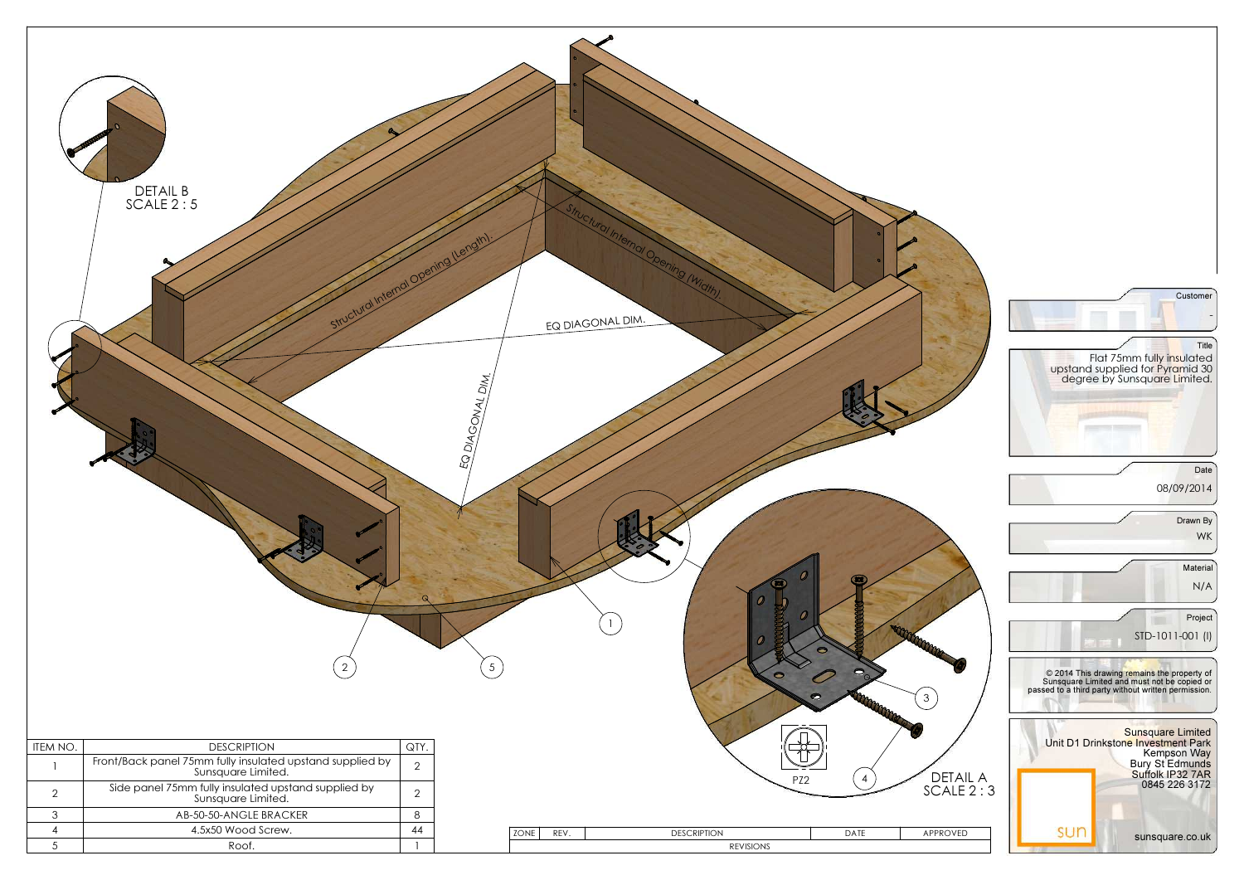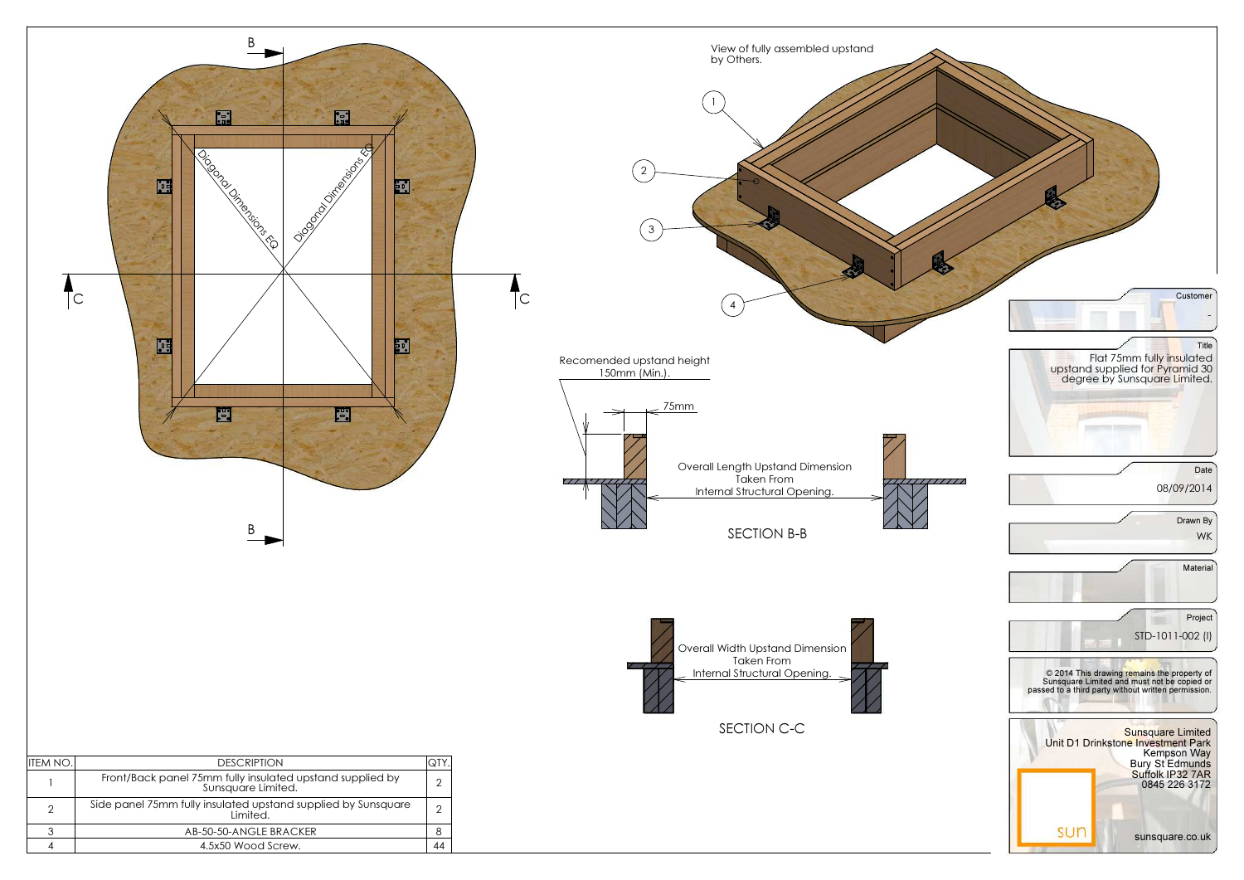